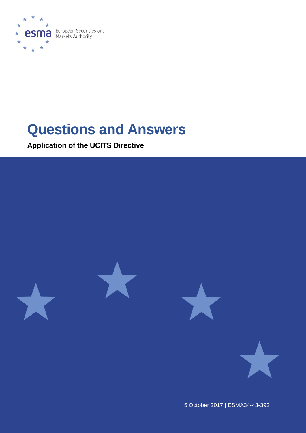

# **Questions and Answers**

**Application of the UCITS Directive**



5 October 2017 | ESMA34-43-392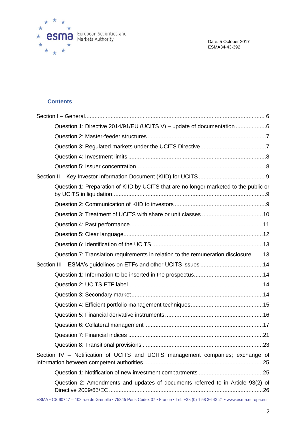

Date: 5 October 2017 ESMA34-43-392

# **Contents**

| Question 1: Directive 2014/91/EU (UCITS V) - update of documentation 6                                                  |
|-------------------------------------------------------------------------------------------------------------------------|
|                                                                                                                         |
|                                                                                                                         |
|                                                                                                                         |
|                                                                                                                         |
|                                                                                                                         |
| Question 1: Preparation of KIID by UCITS that are no longer marketed to the public or                                   |
|                                                                                                                         |
|                                                                                                                         |
|                                                                                                                         |
|                                                                                                                         |
|                                                                                                                         |
| Question 7: Translation requirements in relation to the remuneration disclosure13                                       |
|                                                                                                                         |
|                                                                                                                         |
|                                                                                                                         |
|                                                                                                                         |
|                                                                                                                         |
|                                                                                                                         |
|                                                                                                                         |
|                                                                                                                         |
|                                                                                                                         |
| Section IV - Notification of UCITS and UCITS management companies; exchange of                                          |
|                                                                                                                         |
| Question 2: Amendments and updates of documents referred to in Article 93(2) of                                         |
| ESMA • CS 60747 - 103 rue de Grenelle • 75345 Paris Cedex 07 • France • Tel. +33 (0) 1 58 36 43 21 • www.esma.europa.eu |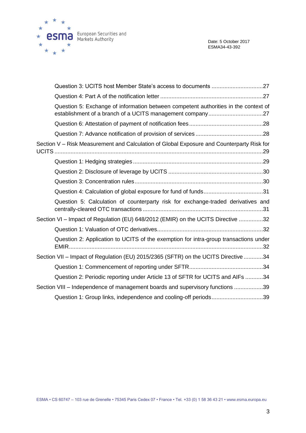

|                                                                                  | Question 5: Exchange of information between competent authorities in the context of       |  |  |
|----------------------------------------------------------------------------------|-------------------------------------------------------------------------------------------|--|--|
|                                                                                  |                                                                                           |  |  |
|                                                                                  |                                                                                           |  |  |
|                                                                                  | Section V - Risk Measurement and Calculation of Global Exposure and Counterparty Risk for |  |  |
|                                                                                  |                                                                                           |  |  |
|                                                                                  |                                                                                           |  |  |
|                                                                                  |                                                                                           |  |  |
|                                                                                  |                                                                                           |  |  |
|                                                                                  | Question 5: Calculation of counterparty risk for exchange-traded derivatives and          |  |  |
| Section VI - Impact of Regulation (EU) 648/2012 (EMIR) on the UCITS Directive 32 |                                                                                           |  |  |
|                                                                                  |                                                                                           |  |  |
|                                                                                  | Question 2: Application to UCITS of the exemption for intra-group transactions under      |  |  |
|                                                                                  | Section VII - Impact of Regulation (EU) 2015/2365 (SFTR) on the UCITS Directive 34        |  |  |
|                                                                                  |                                                                                           |  |  |
|                                                                                  | Question 2: Periodic reporting under Article 13 of SFTR for UCITS and AIFs 34             |  |  |
|                                                                                  | Section VIII - Independence of management boards and supervisory functions 39             |  |  |
|                                                                                  | Question 1: Group links, independence and cooling-off periods39                           |  |  |
|                                                                                  |                                                                                           |  |  |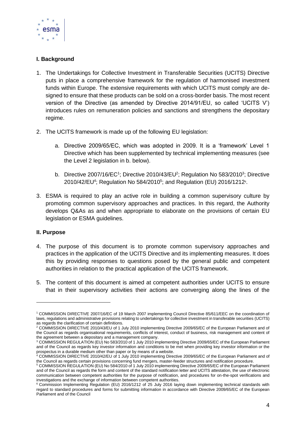

# **I. Background**

- 1. The Undertakings for Collective Investment in Transferable Securities (UCITS) Directive puts in place a comprehensive framework for the regulation of harmonised investment funds within Europe. The extensive requirements with which UCITS must comply are designed to ensure that these products can be sold on a cross-border basis. The most recent version of the Directive (as amended by Directive 2014/91/EU, so called 'UCITS V') introduces rules on remuneration policies and sanctions and strengthens the depositary regime.
- 2. The UCITS framework is made up of the following EU legislation:
	- a. Directive 2009/65/EC, which was adopted in 2009. It is a 'framework' Level 1 Directive which has been supplemented by technical implementing measures (see the Level 2 legislation in b. below).
	- b. Directive 2007/16/EC<sup>1</sup>; Directive 2010/43/EU<sup>2</sup>; Regulation No 583/2010<sup>3</sup>; Directive 2010/42/EU<sup>4</sup>; Regulation No 584/2010<sup>5</sup>; and Regulation (EU) 2016/1212<sup>6</sup>.
- 3. ESMA is required to play an active role in building a common supervisory culture by promoting common supervisory approaches and practices. In this regard, the Authority develops Q&As as and when appropriate to elaborate on the provisions of certain EU legislation or ESMA guidelines.

# **II. Purpose**

1

- 4. The purpose of this document is to promote common supervisory approaches and practices in the application of the UCITS Directive and its implementing measures. It does this by providing responses to questions posed by the general public and competent authorities in relation to the practical application of the UCITS framework.
- 5. The content of this document is aimed at competent authorities under UCITS to ensure that in their supervisory activities their actions are converging along the lines of the

<sup>1</sup> COMMISSION DIRECTIVE 2007/16/EC of 19 March 2007 implementing Council Directive 85/611/EEC on the coordination of laws, regulations and administrative provisions relating to undertakings for collective investment in transferable securities (UCITS) as regards the clarification of certain definitions.

<sup>2</sup> COMMISSION DIRECTIVE 2010/43/EU of 1 July 2010 implementing Directive 2009/65/EC of the European Parliament and of the Council as regards organisational requirements, conflicts of interest, conduct of business, risk management and content of the agreement between a depositary and a management company.

<sup>3</sup> COMMISSION REGULATION (EU) No 583/2010 of 1 July 2010 implementing Directive 2009/65/EC of the European Parliament and of the Council as regards key investor information and conditions to be met when providing key investor information or the prospectus in a durable medium other than paper or by means of a website.

<sup>4</sup> COMMISSION DIRECTIVE 2010/42/EU of 1 July 2010 implementing Directive 2009/65/EC of the European Parliament and of the Council as regards certain provisions concerning fund mergers, master-feeder structures and notification procedure.

<sup>&</sup>lt;sup>5</sup> COMMISSION REGULATION (EU) No 584/2010 of 1 July 2010 implementing Directive 2009/65/EC of the European Parliament and of the Council as regards the form and content of the standard notification letter and UCITS attestation, the use of electronic communication between competent authorities for the purpose of notification, and procedures for on-the-spot verifications and investigations and the exchange of information between competent authorities.

<sup>6</sup> Commission Implementing Regulation (EU) 2016/1212 of 25 July 2016 laying down implementing technical standards with regard to standard procedures and forms for submitting information in accordance with Directive 2009/65/EC of the European Parliament and of the Council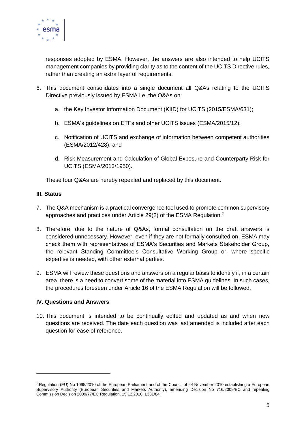

responses adopted by ESMA. However, the answers are also intended to help UCITS management companies by providing clarity as to the content of the UCITS Directive rules, rather than creating an extra layer of requirements.

- 6. This document consolidates into a single document all Q&As relating to the UCITS Directive previously issued by ESMA i.e. the Q&As on:
	- a. the Key Investor Information Document (KIID) for UCITS (2015/ESMA/631);
	- b. ESMA's guidelines on ETFs and other UCITS issues (ESMA/2015/12);
	- c. Notification of UCITS and exchange of information between competent authorities (ESMA/2012/428); and
	- d. Risk Measurement and Calculation of Global Exposure and Counterparty Risk for UCITS (ESMA/2013/1950).

These four Q&As are hereby repealed and replaced by this document.

## **III. Status**

1

- 7. The Q&A mechanism is a practical convergence tool used to promote common supervisory approaches and practices under Article 29(2) of the ESMA Regulation.<sup>7</sup>
- 8. Therefore, due to the nature of Q&As, formal consultation on the draft answers is considered unnecessary. However, even if they are not formally consulted on, ESMA may check them with representatives of ESMA's Securities and Markets Stakeholder Group, the relevant Standing Committee's Consultative Working Group or, where specific expertise is needed, with other external parties.
- 9. ESMA will review these questions and answers on a regular basis to identify if, in a certain area, there is a need to convert some of the material into ESMA guidelines. In such cases, the procedures foreseen under Article 16 of the ESMA Regulation will be followed.

## **IV. Questions and Answers**

10. This document is intended to be continually edited and updated as and when new questions are received. The date each question was last amended is included after each question for ease of reference.

 $7$  Regulation (EU) No 1095/2010 of the European Parliament and of the Council of 24 November 2010 establishing a European Supervisory Authority (European Securities and Markets Authority), amending Decision No 716/2009/EC and repealing Commission Decision 2009/77/EC Regulation, 15.12.2010, L331/84.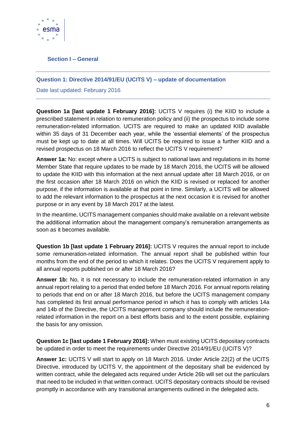

# <span id="page-5-0"></span>**Section I – General**

## <span id="page-5-1"></span>**Question 1: Directive 2014/91/EU (UCITS V) – update of documentation**

Date last updated: February 2016

**Question 1a [last update 1 February 2016]:** UCITS V requires (i) the KIID to include a prescribed statement in relation to remuneration policy and (ii) the prospectus to include some remuneration-related information. UCITS are required to make an updated KIID available within 35 days of 31 December each year, while the 'essential elements' of the prospectus must be kept up to date at all times. Will UCITS be required to issue a further KIID and a revised prospectus on 18 March 2016 to reflect the UCITS V requirement?

**Answer 1a:** No: except where a UCITS is subject to national laws and regulations in its home Member State that require updates to be made by 18 March 2016, the UCITS will be allowed to update the KIID with this information at the next annual update after 18 March 2016, or on the first occasion after 18 March 2016 on which the KIID is revised or replaced for another purpose, if the information is available at that point in time. Similarly, a UCITS will be allowed to add the relevant information to the prospectus at the next occasion it is revised for another purpose or in any event by 18 March 2017 at the latest.

In the meantime, UCITS management companies should make available on a relevant website the additional information about the management company's remuneration arrangements as soon as it becomes available.

**Question 1b [last update 1 February 2016]:** UCITS V requires the annual report to include some remuneration-related information. The annual report shall be published within four months from the end of the period to which it relates. Does the UCITS V requirement apply to all annual reports published on or after 18 March 2016?

**Answer 1b:** No, it is not necessary to include the remuneration-related information in any annual report relating to a period that ended before 18 March 2016. For annual reports relating to periods that end on or after 18 March 2016, but before the UCITS management company has completed its first annual performance period in which it has to comply with articles 14a and 14b of the Directive, the UCITS management company should include the remunerationrelated information in the report on a best efforts basis and to the extent possible, explaining the basis for any omission.

**Question 1c [last update 1 February 2016]:** When must existing UCITS depositary contracts be updated in order to meet the requirements under Directive 2014/91/EU (UCITS V)?

**Answer 1c:** UCITS V will start to apply on 18 March 2016. Under Article 22(2) of the UCITS Directive, introduced by UCITS V, the appointment of the depositary shall be evidenced by written contract, while the delegated acts required under Article 26b will set out the particulars that need to be included in that written contract. UCITS depositary contracts should be revised promptly in accordance with any transitional arrangements outlined in the delegated acts.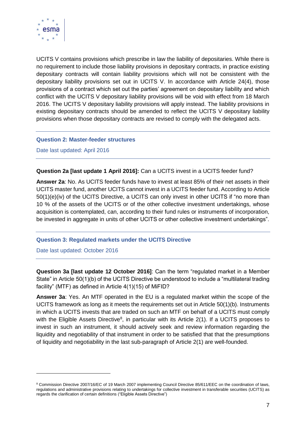

UCITS V contains provisions which prescribe in law the liability of depositaries. While there is no requirement to include those liability provisions in depositary contracts, in practice existing depositary contracts will contain liability provisions which will not be consistent with the depositary liability provisions set out in UCITS V. In accordance with Article 24(4), those provisions of a contract which set out the parties' agreement on depositary liability and which conflict with the UCITS V depositary liability provisions will be void with effect from 18 March 2016. The UCITS V depositary liability provisions will apply instead. The liability provisions in existing depositary contracts should be amended to reflect the UCITS V depositary liability provisions when those depositary contracts are revised to comply with the delegated acts.

## <span id="page-6-0"></span>**Question 2: Master-feeder structures**

Date last updated: April 2016

**Question 2a [last update 1 April 2016]:** Can a UCITS invest in a UCITS feeder fund?

**Answer 2a**: No. As UCITS feeder funds have to invest at least 85% of their net assets in their UCITS master fund, another UCITS cannot invest in a UCITS feeder fund. According to Article 50(1)(e)(iv) of the UCITS Directive, a UCITS can only invest in other UCITS if "no more than 10 % of the assets of the UCITS or of the other collective investment undertakings, whose acquisition is contemplated, can, according to their fund rules or instruments of incorporation, be invested in aggregate in units of other UCITS or other collective investment undertakings".

## <span id="page-6-1"></span>**Question 3: Regulated markets under the UCITS Directive**

Date last updated: October 2016

1

**Question 3a [last update 12 October 2016]**: Can the term "regulated market in a Member State" in Article 50(1)(b) of the UCITS Directive be understood to include a "multilateral trading facility" (MTF) as defined in Article 4(1)(15) of MiFID?

**Answer 3a**: Yes. An MTF operated in the EU is a regulated market within the scope of the UCITS framework as long as it meets the requirements set out in Article 50(1)(b). Instruments in which a UCITS invests that are traded on such an MTF on behalf of a UCITS must comply with the Eligible Assets Directive<sup>8</sup>, in particular with its Article  $2(1)$ . If a UCITS proposes to invest in such an instrument, it should actively seek and review information regarding the liquidity and negotiability of that instrument in order to be satisfied that that the presumptions of liquidity and negotiability in the last sub-paragraph of Article 2(1) are well-founded.

<sup>&</sup>lt;sup>8</sup> Commission Directive 2007/16/EC of 19 March 2007 implementing Council Directive 85/611/EEC on the coordination of laws, regulations and administrative provisions relating to undertakings for collective investment in transferable securities (UCITS) as regards the clarification of certain definitions ("Eligible Assets Directive")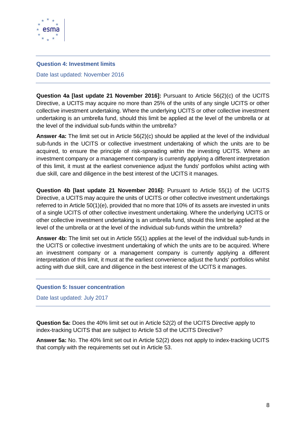

## <span id="page-7-0"></span>**Question 4: Investment limits**

Date last updated: November 2016

**Question 4a [last update 21 November 2016]:** Pursuant to Article 56(2)(c) of the UCITS Directive, a UCITS may acquire no more than 25% of the units of any single UCITS or other collective investment undertaking. Where the underlying UCITS or other collective investment undertaking is an umbrella fund, should this limit be applied at the level of the umbrella or at the level of the individual sub-funds within the umbrella?

**Answer 4a:** The limit set out in Article 56(2)(c) should be applied at the level of the individual sub-funds in the UCITS or collective investment undertaking of which the units are to be acquired, to ensure the principle of risk-spreading within the investing UCITS. Where an investment company or a management company is currently applying a different interpretation of this limit, it must at the earliest convenience adjust the funds' portfolios whilst acting with due skill, care and diligence in the best interest of the UCITS it manages.

**Question 4b [last update 21 November 2016]:** Pursuant to Article 55(1) of the UCITS Directive, a UCITS may acquire the units of UCITS or other collective investment undertakings referred to in Article 50(1)(e), provided that no more that 10% of its assets are invested in units of a single UCITS of other collective investment undertaking. Where the underlying UCITS or other collective investment undertaking is an umbrella fund, should this limit be applied at the level of the umbrella or at the level of the individual sub-funds within the umbrella?

**Answer 4b:** The limit set out in Article 55(1) applies at the level of the individual sub-funds in the UCITS or collective investment undertaking of which the units are to be acquired. Where an investment company or a management company is currently applying a different interpretation of this limit, it must at the earliest convenience adjust the funds' portfolios whilst acting with due skill, care and diligence in the best interest of the UCITS it manages.

#### <span id="page-7-1"></span>**Question 5: Issuer concentration**

Date last updated: July 2017

**Question 5a:** Does the 40% limit set out in Article 52(2) of the UCITS Directive apply to index-tracking UCITS that are subject to Article 53 of the UCITS Directive?

**Answer 5a:** No. The 40% limit set out in Article 52(2) does not apply to index-tracking UCITS that comply with the requirements set out in Article 53.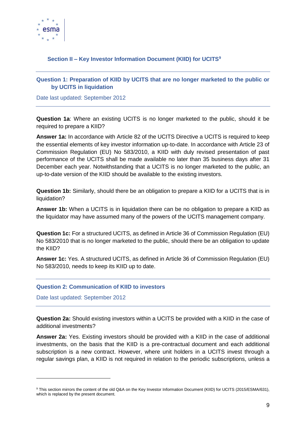

# <span id="page-8-0"></span>**Section II – Key Investor Information Document (KIID) for UCITS<sup>9</sup>**

# <span id="page-8-1"></span>**Question 1: Preparation of KIID by UCITS that are no longer marketed to the public or by UCITS in liquidation**

Date last updated: September 2012

**Question 1a**: Where an existing UCITS is no longer marketed to the public, should it be required to prepare a KIID?

**Answer 1a:** In accordance with Article 82 of the UCITS Directive a UCITS is required to keep the essential elements of key investor information up-to-date. In accordance with Article 23 of Commission Regulation (EU) No 583/2010, a KIID with duly revised presentation of past performance of the UCITS shall be made available no later than 35 business days after 31 December each year. Notwithstanding that a UCITS is no longer marketed to the public, an up-to-date version of the KIID should be available to the existing investors.

**Question 1b:** Similarly, should there be an obligation to prepare a KIID for a UCITS that is in liquidation?

**Answer 1b:** When a UCITS is in liquidation there can be no obligation to prepare a KIID as the liquidator may have assumed many of the powers of the UCITS management company.

**Question 1c:** For a structured UCITS, as defined in Article 36 of Commission Regulation (EU) No 583/2010 that is no longer marketed to the public, should there be an obligation to update the KIID?

**Answer 1c:** Yes. A structured UCITS, as defined in Article 36 of Commission Regulation (EU) No 583/2010, needs to keep its KIID up to date.

## <span id="page-8-2"></span>**Question 2: Communication of KIID to investors**

Date last updated: September 2012

-

**Question 2a:** Should existing investors within a UCITS be provided with a KIID in the case of additional investments?

**Answer 2a:** Yes. Existing investors should be provided with a KIID in the case of additional investments, on the basis that the KIID is a pre-contractual document and each additional subscription is a new contract. However, where unit holders in a UCITS invest through a regular savings plan, a KIID is not required in relation to the periodic subscriptions, unless a

<sup>9</sup> This section mirrors the content of the old Q&A on the Key Investor Information Document (KIID) for UCITS (2015/ESMA/631), which is replaced by the present document.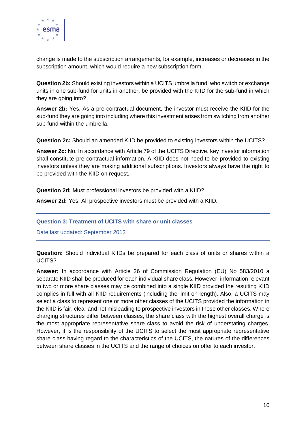

change is made to the subscription arrangements, for example, increases or decreases in the subscription amount, which would require a new subscription form.

**Question 2b:** Should existing investors within a UCITS umbrella fund, who switch or exchange units in one sub-fund for units in another, be provided with the KIID for the sub-fund in which they are going into?

**Answer 2b:** Yes. As a pre-contractual document, the investor must receive the KIID for the sub-fund they are going into including where this investment arises from switching from another sub-fund within the umbrella.

**Question 2c:** Should an amended KIID be provided to existing investors within the UCITS?

**Answer 2c:** No. In accordance with Article 79 of the UCITS Directive, key investor information shall constitute pre-contractual information. A KIID does not need to be provided to existing investors unless they are making additional subscriptions. Investors always have the right to be provided with the KIID on request.

**Question 2d:** Must professional investors be provided with a KIID?

**Answer 2d:** Yes. All prospective investors must be provided with a KIID.

<span id="page-9-0"></span>**Question 3: Treatment of UCITS with share or unit classes** 

Date last updated: September 2012

**Question:** Should individual KIIDs be prepared for each class of units or shares within a UCITS?

**Answer:** In accordance with Article 26 of Commission Regulation (EU) No 583/2010 a separate KIID shall be produced for each individual share class. However, information relevant to two or more share classes may be combined into a single KIID provided the resulting KIID complies in full with all KIID requirements (including the limit on length). Also, a UCITS may select a class to represent one or more other classes of the UCITS provided the information in the KIID is fair, clear and not misleading to prospective investors in those other classes. Where charging structures differ between classes, the share class with the highest overall charge is the most appropriate representative share class to avoid the risk of understating charges. However, it is the responsibility of the UCITS to select the most appropriate representative share class having regard to the characteristics of the UCITS, the natures of the differences between share classes in the UCITS and the range of choices on offer to each investor.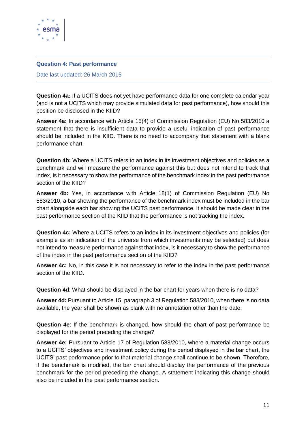

## <span id="page-10-0"></span>**Question 4: Past performance**

Date last updated: 26 March 2015

**Question 4a:** If a UCITS does not yet have performance data for one complete calendar year (and is not a UCITS which may provide simulated data for past performance), how should this position be disclosed in the KIID?

**Answer 4a:** In accordance with Article 15(4) of Commission Regulation (EU) No 583/2010 a statement that there is insufficient data to provide a useful indication of past performance should be included in the KIID. There is no need to accompany that statement with a blank performance chart.

**Question 4b:** Where a UCITS refers to an index in its investment objectives and policies as a benchmark and will measure the performance against this but does not intend to track that index, is it necessary to show the performance of the benchmark index in the past performance section of the KIID?

**Answer 4b:** Yes, in accordance with Article 18(1) of Commission Regulation (EU) No 583/2010, a bar showing the performance of the benchmark index must be included in the bar chart alongside each bar showing the UCITS past performance. It should be made clear in the past performance section of the KIID that the performance is not tracking the index.

**Question 4c:** Where a UCITS refers to an index in its investment objectives and policies (for example as an indication of the universe from which investments may be selected) but does not intend to measure performance against that index, is it necessary to show the performance of the index in the past performance section of the KIID?

**Answer 4c:** No, in this case it is not necessary to refer to the index in the past performance section of the KIID.

**Question 4d**: What should be displayed in the bar chart for years when there is no data?

**Answer 4d:** Pursuant to Article 15, paragraph 3 of Regulation 583/2010, when there is no data available, the year shall be shown as blank with no annotation other than the date.

**Question 4e**: If the benchmark is changed, how should the chart of past performance be displayed for the period preceding the change?

**Answer 4e:** Pursuant to Article 17 of Regulation 583/2010, where a material change occurs to a UCITS' objectives and investment policy during the period displayed in the bar chart, the UCITS' past performance prior to that material change shall continue to be shown. Therefore, if the benchmark is modified, the bar chart should display the performance of the previous benchmark for the period preceding the change. A statement indicating this change should also be included in the past performance section.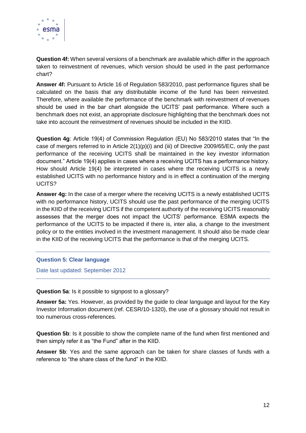

**Question 4f:** When several versions of a benchmark are available which differ in the approach taken to reinvestment of revenues, which version should be used in the past performance chart?

**Answer 4f:** Pursuant to Article 16 of Regulation 583/2010, past performance figures shall be calculated on the basis that any distributable income of the fund has been reinvested. Therefore, where available the performance of the benchmark with reinvestment of revenues should be used in the bar chart alongside the UCITS' past performance. Where such a benchmark does not exist, an appropriate disclosure highlighting that the benchmark does not take into account the reinvestment of revenues should be included in the KIID.

**Question 4g**: Article 19(4) of Commission Regulation (EU) No 583/2010 states that "In the case of mergers referred to in Article 2(1)(p)(i) and (iii) of Directive 2009/65/EC, only the past performance of the receiving UCITS shall be maintained in the key investor information document." Article 19(4) applies in cases where a receiving UCITS has a performance history. How should Article 19(4) be interpreted in cases where the receiving UCITS is a newly established UCITS with no performance history and is in effect a continuation of the merging UCITS?

**Answer 4g:** In the case of a merger where the receiving UCITS is a newly established UCITS with no performance history, UCITS should use the past performance of the merging UCITS in the KIID of the receiving UCITS if the competent authority of the receiving UCITS reasonably assesses that the merger does not impact the UCITS' performance. ESMA expects the performance of the UCITS to be impacted if there is, inter alia, a change to the investment policy or to the entities involved in the investment management. It should also be made clear in the KIID of the receiving UCITS that the performance is that of the merging UCITS.

## <span id="page-11-0"></span>**Question 5: Clear language**

Date last updated: September 2012

**Question 5a**: Is it possible to signpost to a glossary?

**Answer 5a:** Yes. However, as provided by the guide to clear language and layout for the Key Investor Information document (ref. CESR/10-1320), the use of a glossary should not result in too numerous cross-references.

**Question 5b**: Is it possible to show the complete name of the fund when first mentioned and then simply refer it as "the Fund" after in the KIID.

**Answer 5b**: Yes and the same approach can be taken for share classes of funds with a reference to "the share class of the fund" in the KIID.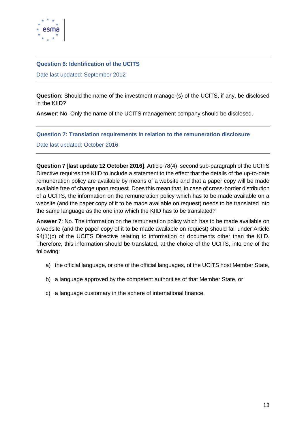

## <span id="page-12-0"></span>**Question 6: Identification of the UCITS**

Date last updated: September 2012

**Question**: Should the name of the investment manager(s) of the UCITS, if any, be disclosed in the KIID?

**Answer**: No. Only the name of the UCITS management company should be disclosed.

## <span id="page-12-1"></span>**Question 7: Translation requirements in relation to the remuneration disclosure**

Date last updated: October 2016

**Question 7 [last update 12 October 2016]**: Article 78(4), second sub-paragraph of the UCITS Directive requires the KIID to include a statement to the effect that the details of the up-to-date remuneration policy are available by means of a website and that a paper copy will be made available free of charge upon request. Does this mean that, in case of cross-border distribution of a UCITS, the information on the remuneration policy which has to be made available on a website (and the paper copy of it to be made available on request) needs to be translated into the same language as the one into which the KIID has to be translated?

**Answer 7**: No. The information on the remuneration policy which has to be made available on a website (and the paper copy of it to be made available on request) should fall under Article 94(1)(c) of the UCITS Directive relating to information or documents other than the KIID. Therefore, this information should be translated, at the choice of the UCITS, into one of the following:

- a) the official language, or one of the official languages, of the UCITS host Member State,
- b) a language approved by the competent authorities of that Member State, or
- c) a language customary in the sphere of international finance.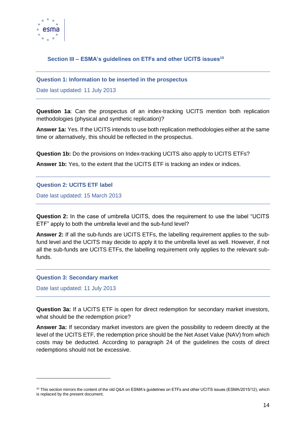

# <span id="page-13-0"></span>**Section III – ESMA's guidelines on ETFs and other UCITS issues<sup>10</sup>**

## <span id="page-13-1"></span>**Question 1: Information to be inserted in the prospectus**

Date last updated: 11 July 2013

**Question 1a**: Can the prospectus of an index-tracking UCITS mention both replication methodologies (physical and synthetic replication)?

**Answer 1a:** Yes. If the UCITS intends to use both replication methodologies either at the same time or alternatively, this should be reflected in the prospectus.

**Question 1b:** Do the provisions on Index-tracking UCITS also apply to UCITS ETFs?

**Answer 1b:** Yes, to the extent that the UCITS ETF is tracking an index or indices.

## <span id="page-13-2"></span>**Question 2: UCITS ETF label**

Date last updated: 15 March 2013

**Question 2:** In the case of umbrella UCITS, does the requirement to use the label "UCITS ETF" apply to both the umbrella level and the sub-fund level?

**Answer 2:** If all the sub-funds are UCITS ETFs, the labelling requirement applies to the subfund level and the UCITS may decide to apply it to the umbrella level as well. However, if not all the sub-funds are UCITS ETFs, the labelling requirement only applies to the relevant subfunds.

#### <span id="page-13-3"></span>**Question 3: Secondary market**

Date last updated: 11 July 2013

-

**Question 3a:** If a UCITS ETF is open for direct redemption for secondary market investors, what should be the redemption price?

**Answer 3a:** If secondary market investors are given the possibility to redeem directly at the level of the UCITS ETF, the redemption price should be the Net Asset Value (NAV) from which costs may be deducted. According to paragraph 24 of the guidelines the costs of direct redemptions should not be excessive.

<sup>&</sup>lt;sup>10</sup> This section mirrors the content of the old Q&A on ESMA's guidelines on ETFs and other UCITS issues (ESMA/2015/12), which is replaced by the present document.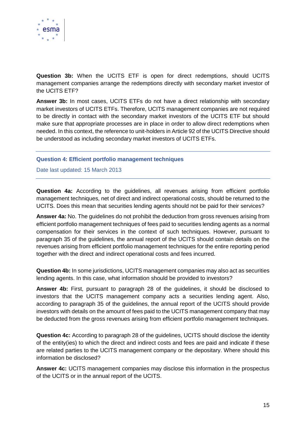

**Question 3b:** When the UCITS ETF is open for direct redemptions, should UCITS management companies arrange the redemptions directly with secondary market investor of the UCITS ETF?

**Answer 3b:** In most cases, UCITS ETFs do not have a direct relationship with secondary market investors of UCITS ETFs. Therefore, UCITS management companies are not required to be directly in contact with the secondary market investors of the UCITS ETF but should make sure that appropriate processes are in place in order to allow direct redemptions when needed. In this context, the reference to unit-holders in Article 92 of the UCITS Directive should be understood as including secondary market investors of UCITS ETFs.

## <span id="page-14-0"></span>**Question 4: Efficient portfolio management techniques**

## Date last updated: 15 March 2013

**Question 4a:** According to the guidelines, all revenues arising from efficient portfolio management techniques, net of direct and indirect operational costs, should be returned to the UCITS. Does this mean that securities lending agents should not be paid for their services?

**Answer 4a:** No. The guidelines do not prohibit the deduction from gross revenues arising from efficient portfolio management techniques of fees paid to securities lending agents as a normal compensation for their services in the context of such techniques. However, pursuant to paragraph 35 of the guidelines, the annual report of the UCITS should contain details on the revenues arising from efficient portfolio management techniques for the entire reporting period together with the direct and indirect operational costs and fees incurred.

**Question 4b:** In some jurisdictions, UCITS management companies may also act as securities lending agents. In this case, what information should be provided to investors?

**Answer 4b:** First, pursuant to paragraph 28 of the guidelines, it should be disclosed to investors that the UCITS management company acts a securities lending agent. Also, according to paragraph 35 of the guidelines, the annual report of the UCITS should provide investors with details on the amount of fees paid to the UCITS management company that may be deducted from the gross revenues arising from efficient portfolio management techniques.

**Question 4c:** According to paragraph 28 of the guidelines, UCITS should disclose the identity of the entity(ies) to which the direct and indirect costs and fees are paid and indicate if these are related parties to the UCITS management company or the depositary. Where should this information be disclosed?

**Answer 4c:** UCITS management companies may disclose this information in the prospectus of the UCITS or in the annual report of the UCITS.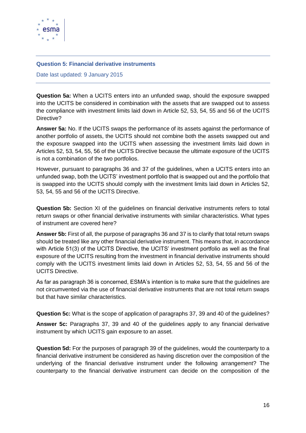

## <span id="page-15-0"></span>**Question 5: Financial derivative instruments**

Date last updated: 9 January 2015

**Question 5a:** When a UCITS enters into an unfunded swap, should the exposure swapped into the UCITS be considered in combination with the assets that are swapped out to assess the compliance with investment limits laid down in Article 52, 53, 54, 55 and 56 of the UCITS Directive?

**Answer 5a:** No. If the UCITS swaps the performance of its assets against the performance of another portfolio of assets, the UCITS should not combine both the assets swapped out and the exposure swapped into the UCITS when assessing the investment limits laid down in Articles 52, 53, 54, 55, 56 of the UCITS Directive because the ultimate exposure of the UCITS is not a combination of the two portfolios.

However, pursuant to paragraphs 36 and 37 of the guidelines, when a UCITS enters into an unfunded swap, both the UCITS' investment portfolio that is swapped out and the portfolio that is swapped into the UCITS should comply with the investment limits laid down in Articles 52, 53, 54, 55 and 56 of the UCITS Directive.

**Question 5b:** Section XI of the guidelines on financial derivative instruments refers to total return swaps or other financial derivative instruments with similar characteristics. What types of instrument are covered here?

**Answer 5b:** First of all, the purpose of paragraphs 36 and 37 is to clarify that total return swaps should be treated like any other financial derivative instrument. This means that, in accordance with Article 51(3) of the UCITS Directive, the UCITS' investment portfolio as well as the final exposure of the UCITS resulting from the investment in financial derivative instruments should comply with the UCITS investment limits laid down in Articles 52, 53, 54, 55 and 56 of the UCITS Directive.

As far as paragraph 36 is concerned, ESMA's intention is to make sure that the guidelines are not circumvented via the use of financial derivative instruments that are not total return swaps but that have similar characteristics.

**Question 5c:** What is the scope of application of paragraphs 37, 39 and 40 of the guidelines?

**Answer 5c:** Paragraphs 37, 39 and 40 of the guidelines apply to any financial derivative instrument by which UCITS gain exposure to an asset.

**Question 5d:** For the purposes of paragraph 39 of the guidelines, would the counterparty to a financial derivative instrument be considered as having discretion over the composition of the underlying of the financial derivative instrument under the following arrangement? The counterparty to the financial derivative instrument can decide on the composition of the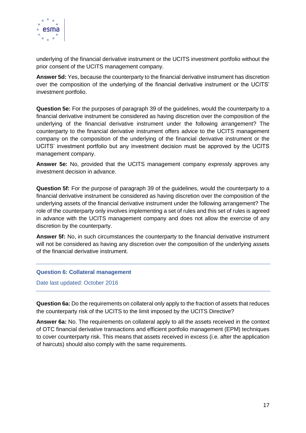

underlying of the financial derivative instrument or the UCITS investment portfolio without the prior consent of the UCITS management company.

**Answer 5d:** Yes, because the counterparty to the financial derivative instrument has discretion over the composition of the underlying of the financial derivative instrument or the UCITS' investment portfolio.

**Question 5e:** For the purposes of paragraph 39 of the guidelines, would the counterparty to a financial derivative instrument be considered as having discretion over the composition of the underlying of the financial derivative instrument under the following arrangement? The counterparty to the financial derivative instrument offers advice to the UCITS management company on the composition of the underlying of the financial derivative instrument or the UCITS' investment portfolio but any investment decision must be approved by the UCITS management company.

**Answer 5e:** No, provided that the UCITS management company expressly approves any investment decision in advance.

**Question 5f:** For the purpose of paragraph 39 of the guidelines, would the counterparty to a financial derivative instrument be considered as having discretion over the composition of the underlying assets of the financial derivative instrument under the following arrangement? The role of the counterparty only involves implementing a set of rules and this set of rules is agreed in advance with the UCITS management company and does not allow the exercise of any discretion by the counterparty.

**Answer 5f:** No, in such circumstances the counterparty to the financial derivative instrument will not be considered as having any discretion over the composition of the underlying assets of the financial derivative instrument.

## <span id="page-16-0"></span>**Question 6: Collateral management**

Date last updated: October 2016

**Question 6a:** Do the requirements on collateral only apply to the fraction of assets that reduces the counterparty risk of the UCITS to the limit imposed by the UCITS Directive?

**Answer 6a:** No. The requirements on collateral apply to all the assets received in the context of OTC financial derivative transactions and efficient portfolio management (EPM) techniques to cover counterparty risk. This means that assets received in excess (i.e. after the application of haircuts) should also comply with the same requirements.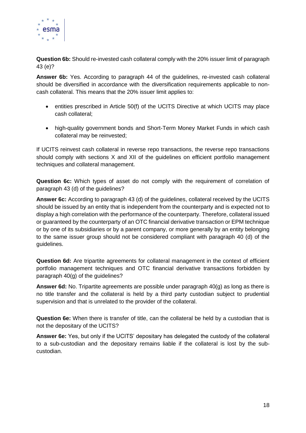

**Question 6b:** Should re-invested cash collateral comply with the 20% issuer limit of paragraph 43 (e)?

**Answer 6b:** Yes. According to paragraph 44 of the guidelines, re-invested cash collateral should be diversified in accordance with the diversification requirements applicable to noncash collateral. This means that the 20% issuer limit applies to:

- entities prescribed in Article 50(f) of the UCITS Directive at which UCITS may place cash collateral;
- high-quality government bonds and Short-Term Money Market Funds in which cash collateral may be reinvested;

If UCITS reinvest cash collateral in reverse repo transactions, the reverse repo transactions should comply with sections X and XII of the guidelines on efficient portfolio management techniques and collateral management.

**Question 6c:** Which types of asset do not comply with the requirement of correlation of paragraph 43 (d) of the guidelines?

**Answer 6c:** According to paragraph 43 (d) of the guidelines, collateral received by the UCITS should be issued by an entity that is independent from the counterparty and is expected not to display a high correlation with the performance of the counterparty. Therefore, collateral issued or guaranteed by the counterparty of an OTC financial derivative transaction or EPM technique or by one of its subsidiaries or by a parent company, or more generally by an entity belonging to the same issuer group should not be considered compliant with paragraph 40 (d) of the guidelines.

**Question 6d:** Are tripartite agreements for collateral management in the context of efficient portfolio management techniques and OTC financial derivative transactions forbidden by paragraph 40(g) of the guidelines?

**Answer 6d:** No. Tripartite agreements are possible under paragraph 40(g) as long as there is no title transfer and the collateral is held by a third party custodian subject to prudential supervision and that is unrelated to the provider of the collateral.

**Question 6e:** When there is transfer of title, can the collateral be held by a custodian that is not the depositary of the UCITS?

**Answer 6e:** Yes, but only if the UCITS' depositary has delegated the custody of the collateral to a sub-custodian and the depositary remains liable if the collateral is lost by the subcustodian.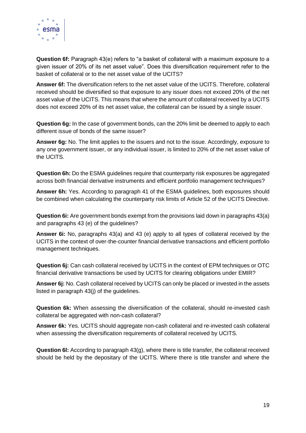

**Question 6f:** Paragraph 43(e) refers to "a basket of collateral with a maximum exposure to a given issuer of 20% of its net asset value". Does this diversification requirement refer to the basket of collateral or to the net asset value of the UCITS?

**Answer 6f:** The diversification refers to the net asset value of the UCITS. Therefore, collateral received should be diversified so that exposure to any issuer does not exceed 20% of the net asset value of the UCITS. This means that where the amount of collateral received by a UCITS does not exceed 20% of its net asset value, the collateral can be issued by a single issuer.

**Question 6g:** In the case of government bonds, can the 20% limit be deemed to apply to each different issue of bonds of the same issuer?

**Answer 6g:** No. The limit applies to the issuers and not to the issue. Accordingly, exposure to any one government issuer, or any individual issuer, is limited to 20% of the net asset value of the UCITS.

**Question 6h:** Do the ESMA guidelines require that counterparty risk exposures be aggregated across both financial derivative instruments and efficient portfolio management techniques?

**Answer 6h:** Yes. According to paragraph 41 of the ESMA guidelines, both exposures should be combined when calculating the counterparty risk limits of Article 52 of the UCITS Directive.

**Question 6i:** Are government bonds exempt from the provisions laid down in paragraphs 43(a) and paragraphs 43 (e) of the guidelines?

**Answer 6i:** No, paragraphs 43(a) and 43 (e) apply to all types of collateral received by the UCITS in the context of over-the-counter financial derivative transactions and efficient portfolio management techniques.

**Question 6j:** Can cash collateral received by UCITS in the context of EPM techniques or OTC financial derivative transactions be used by UCITS for clearing obligations under EMIR?

**Answer 6j:** No. Cash collateral received by UCITS can only be placed or invested in the assets listed in paragraph 43(j) of the guidelines.

**Question 6k:** When assessing the diversification of the collateral, should re-invested cash collateral be aggregated with non-cash collateral?

**Answer 6k:** Yes. UCITS should aggregate non-cash collateral and re-invested cash collateral when assessing the diversification requirements of collateral received by UCITS.

**Question 6l:** According to paragraph 43(g), where there is title transfer, the collateral received should be held by the depositary of the UCITS. Where there is title transfer and where the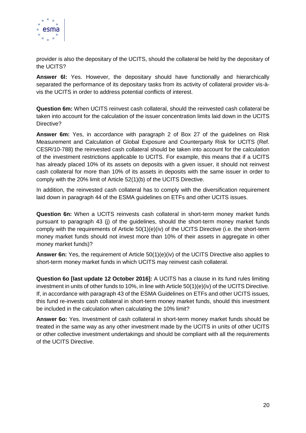

provider is also the depositary of the UCITS, should the collateral be held by the depositary of the UCITS?

**Answer 6l:** Yes. However, the depositary should have functionally and hierarchically separated the performance of its depositary tasks from its activity of collateral provider vis-àvis the UCITS in order to address potential conflicts of interest.

**Question 6m:** When UCITS reinvest cash collateral, should the reinvested cash collateral be taken into account for the calculation of the issuer concentration limits laid down in the UCITS Directive?

**Answer 6m:** Yes, in accordance with paragraph 2 of Box 27 of the guidelines on Risk Measurement and Calculation of Global Exposure and Counterparty Risk for UCITS (Ref. CESR/10-788) the reinvested cash collateral should be taken into account for the calculation of the investment restrictions applicable to UCITS. For example, this means that if a UCITS has already placed 10% of its assets on deposits with a given issuer, it should not reinvest cash collateral for more than 10% of its assets in deposits with the same issuer in order to comply with the 20% limit of Article 52(1)(b) of the UCITS Directive.

In addition, the reinvested cash collateral has to comply with the diversification requirement laid down in paragraph 44 of the ESMA guidelines on ETFs and other UCITS issues.

**Question 6n:** When a UCITS reinvests cash collateral in short-term money market funds pursuant to paragraph 43 (j) of the guidelines, should the short-term money market funds comply with the requirements of Article 50(1)(e)(iv) of the UCITS Directive (i.e. the short-term money market funds should not invest more than 10% of their assets in aggregate in other money market funds)?

**Answer 6n:** Yes, the requirement of Article 50(1)(e)(iv) of the UCITS Directive also applies to short-term money market funds in which UCITS may reinvest cash collateral.

**Question 6o [last update 12 October 2016]:** A UCITS has a clause in its fund rules limiting investment in units of other funds to 10%, in line with Article 50(1)(e)(iv) of the UCITS Directive. If, in accordance with paragraph 43 of the ESMA Guidelines on ETFs and other UCITS issues, this fund re-invests cash collateral in short-term money market funds, should this investment be included in the calculation when calculating the 10% limit?

**Answer 6o:** Yes. Investment of cash collateral in short-term money market funds should be treated in the same way as any other investment made by the UCITS in units of other UCITS or other collective investment undertakings and should be compliant with all the requirements of the UCITS Directive.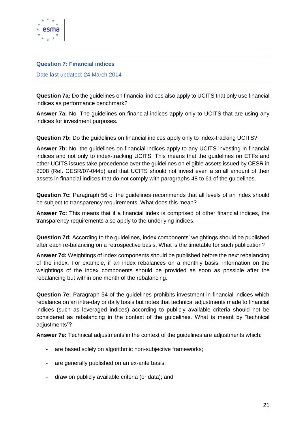

## <span id="page-20-0"></span>**Question 7: Financial indices**

Date last updated: 24 March 2014

**Question 7a:** Do the guidelines on financial indices also apply to UCITS that only use financial indices as performance benchmark?

**Answer 7a:** No. The guidelines on financial indices apply only to UCITS that are using any indices for investment purposes.

**Question 7b:** Do the guidelines on financial indices apply only to index-tracking UCITS?

**Answer 7b:** No, the guidelines on financial indices apply to any UCITS investing in financial indices and not only to index-tracking UCITS. This means that the guidelines on ETFs and other UCITS issues take precedence over the guidelines on eligible assets issued by CESR in 2008 (Ref. CESR/07-044b) and that UCITS should not invest even a small amount of their assets in financial indices that do not comply with paragraphs 48 to 61 of the guidelines.

**Question 7c:** Paragraph 56 of the guidelines recommends that all levels of an index should be subject to transparency requirements. What does this mean?

**Answer 7c:** This means that if a financial index is comprised of other financial indices, the transparency requirements also apply to the underlying indices.

**Question 7d:** According to the guidelines, index components' weightings should be published after each re-balancing on a retrospective basis. What is the timetable for such publication?

**Answer 7d:** Weightings of index components should be published before the next rebalancing of the index. For example, if an index rebalances on a monthly basis, information on the weightings of the index components should be provided as soon as possible after the rebalancing but within one month of the rebalancing.

**Question 7e:** Paragraph 54 of the guidelines prohibits investment in financial indices which rebalance on an intra-day or daily basis but notes that technical adjustments made to financial indices (such as leveraged indices) according to publicly available criteria should not be considered as rebalancing in the context of the guidelines. What is meant by "technical adjustments"?

**Answer 7e:** Technical adjustments in the context of the guidelines are adjustments which:

- are based solely on algorithmic non-subjective frameworks;
- are generally published on an ex-ante basis;
- draw on publicly available criteria (or data); and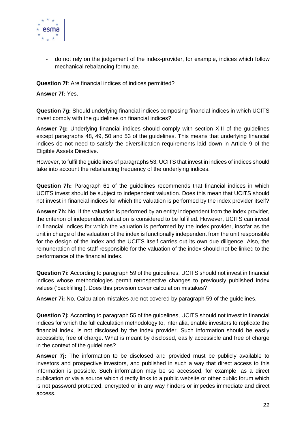

- do not rely on the judgement of the index-provider, for example, indices which follow mechanical rebalancing formulae.

**Question 7f**: Are financial indices of indices permitted?

## **Answer 7f:** Yes.

**Question 7g:** Should underlying financial indices composing financial indices in which UCITS invest comply with the guidelines on financial indices?

**Answer 7g:** Underlying financial indices should comply with section XIII of the guidelines except paragraphs 48, 49, 50 and 53 of the guidelines. This means that underlying financial indices do not need to satisfy the diversification requirements laid down in Article 9 of the Eligible Assets Directive.

However, to fulfil the guidelines of paragraphs 53, UCITS that invest in indices of indices should take into account the rebalancing frequency of the underlying indices.

**Question 7h:** Paragraph 61 of the guidelines recommends that financial indices in which UCITS invest should be subject to independent valuation. Does this mean that UCITS should not invest in financial indices for which the valuation is performed by the index provider itself?

**Answer 7h:** No. If the valuation is performed by an entity independent from the index provider, the criterion of independent valuation is considered to be fulfilled. However, UCITS can invest in financial indices for which the valuation is performed by the index provider, insofar as the unit in charge of the valuation of the index is functionally independent from the unit responsible for the design of the index and the UCITS itself carries out its own due diligence. Also, the remuneration of the staff responsible for the valuation of the index should not be linked to the performance of the financial index.

**Question 7i:** According to paragraph 59 of the guidelines, UCITS should not invest in financial indices whose methodologies permit retrospective changes to previously published index values ('backfilling'). Does this provision cover calculation mistakes?

**Answer 7i:** No. Calculation mistakes are not covered by paragraph 59 of the guidelines.

**Question 7j:** According to paragraph 55 of the guidelines, UCITS should not invest in financial indices for which the full calculation methodology to, inter alia, enable investors to replicate the financial index, is not disclosed by the index provider. Such information should be easily accessible, free of charge. What is meant by disclosed, easily accessible and free of charge in the context of the guidelines?

**Answer 7j:** The information to be disclosed and provided must be publicly available to investors and prospective investors, and published in such a way that direct access to this information is possible. Such information may be so accessed, for example, as a direct publication or via a source which directly links to a public website or other public forum which is not password protected, encrypted or in any way hinders or impedes immediate and direct access.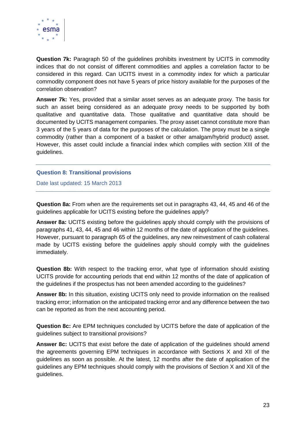

**Question 7k:** Paragraph 50 of the guidelines prohibits investment by UCITS in commodity indices that do not consist of different commodities and applies a correlation factor to be considered in this regard. Can UCITS invest in a commodity index for which a particular commodity component does not have 5 years of price history available for the purposes of the correlation observation?

**Answer 7k:** Yes, provided that a similar asset serves as an adequate proxy. The basis for such an asset being considered as an adequate proxy needs to be supported by both qualitative and quantitative data. Those qualitative and quantitative data should be documented by UCITS management companies. The proxy asset cannot constitute more than 3 years of the 5 years of data for the purposes of the calculation. The proxy must be a single commodity (rather than a component of a basket or other amalgam/hybrid product) asset. However, this asset could include a financial index which complies with section XIII of the guidelines.

## <span id="page-22-0"></span>**Question 8: Transitional provisions**

Date last updated: 15 March 2013

**Question 8a:** From when are the requirements set out in paragraphs 43, 44, 45 and 46 of the guidelines applicable for UCITS existing before the guidelines apply?

**Answer 8a:** UCITS existing before the guidelines apply should comply with the provisions of paragraphs 41, 43, 44, 45 and 46 within 12 months of the date of application of the guidelines. However, pursuant to paragraph 65 of the guidelines, any new reinvestment of cash collateral made by UCITS existing before the guidelines apply should comply with the guidelines immediately.

**Question 8b:** With respect to the tracking error, what type of information should existing UCITS provide for accounting periods that end within 12 months of the date of application of the guidelines if the prospectus has not been amended according to the guidelines?

**Answer 8b:** In this situation, existing UCITS only need to provide information on the realised tracking error; information on the anticipated tracking error and any difference between the two can be reported as from the next accounting period.

**Question 8c:** Are EPM techniques concluded by UCITS before the date of application of the guidelines subject to transitional provisions?

**Answer 8c:** UCITS that exist before the date of application of the guidelines should amend the agreements governing EPM techniques in accordance with Sections X and XII of the guidelines as soon as possible. At the latest, 12 months after the date of application of the guidelines any EPM techniques should comply with the provisions of Section X and XII of the guidelines.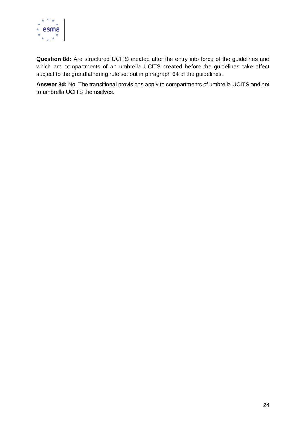

**Question 8d:** Are structured UCITS created after the entry into force of the guidelines and which are compartments of an umbrella UCITS created before the guidelines take effect subject to the grandfathering rule set out in paragraph 64 of the guidelines.

**Answer 8d:** No. The transitional provisions apply to compartments of umbrella UCITS and not to umbrella UCITS themselves.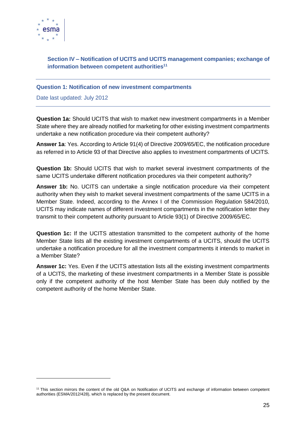

-

# <span id="page-24-0"></span>**Section IV – Notification of UCITS and UCITS management companies; exchange of information between competent authorities<sup>11</sup>**

## <span id="page-24-1"></span>**Question 1: Notification of new investment compartments**

Date last updated: July 2012

**Question 1a:** Should UCITS that wish to market new investment compartments in a Member State where they are already notified for marketing for other existing investment compartments undertake a new notification procedure via their competent authority?

**Answer 1a**: Yes. According to Article 91(4) of Directive 2009/65/EC, the notification procedure as referred in to Article 93 of that Directive also applies to investment compartments of UCITS.

**Question 1b:** Should UCITS that wish to market several investment compartments of the same UCITS undertake different notification procedures via their competent authority?

**Answer 1b:** No. UCITS can undertake a single notification procedure via their competent authority when they wish to market several investment compartments of the same UCITS in a Member State. Indeed, according to the Annex I of the Commission Regulation 584/2010, UCITS may indicate names of different investment compartments in the notification letter they transmit to their competent authority pursuant to Article 93(1) of Directive 2009/65/EC.

**Question 1c:** If the UCITS attestation transmitted to the competent authority of the home Member State lists all the existing investment compartments of a UCITS, should the UCITS undertake a notification procedure for all the investment compartments it intends to market in a Member State?

**Answer 1c:** Yes. Even if the UCITS attestation lists all the existing investment compartments of a UCITS, the marketing of these investment compartments in a Member State is possible only if the competent authority of the host Member State has been duly notified by the competent authority of the home Member State.

<sup>&</sup>lt;sup>11</sup> This section mirrors the content of the old Q&A on Notification of UCITS and exchange of information between competent authorities (ESMA/2012/428), which is replaced by the present document.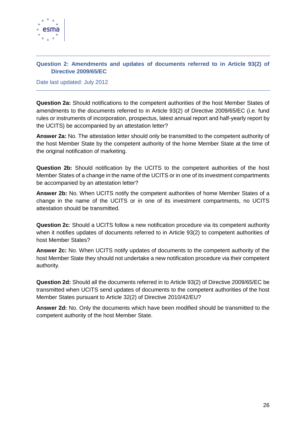

# <span id="page-25-0"></span>**Question 2: Amendments and updates of documents referred to in Article 93(2) of Directive 2009/65/EC**

Date last updated: July 2012

**Question 2a:** Should notifications to the competent authorities of the host Member States of amendments to the documents referred to in Article 93(2) of Directive 2009/65/EC (i.e. fund rules or instruments of incorporation, prospectus, latest annual report and half-yearly report by the UCITS) be accompanied by an attestation letter?

**Answer 2a:** No. The attestation letter should only be transmitted to the competent authority of the host Member State by the competent authority of the home Member State at the time of the original notification of marketing.

**Question 2b:** Should notification by the UCITS to the competent authorities of the host Member States of a change in the name of the UCITS or in one of its investment compartments be accompanied by an attestation letter?

**Answer 2b:** No. When UCITS notify the competent authorities of home Member States of a change in the name of the UCITS or in one of its investment compartments, no UCITS attestation should be transmitted.

**Question 2c***:* Should a UCITS follow a new notification procedure via its competent authority when it notifies updates of documents referred to in Article 93(2) to competent authorities of host Member States?

**Answer 2c:** No. When UCITS notify updates of documents to the competent authority of the host Member State they should not undertake a new notification procedure via their competent authority.

**Question 2d:** Should all the documents referred in to Article 93(2) of Directive 2009/65/EC be transmitted when UCITS send updates of documents to the competent authorities of the host Member States pursuant to Article 32(2) of Directive 2010/42/EU?

**Answer 2d:** No. Only the documents which have been modified should be transmitted to the competent authority of the host Member State.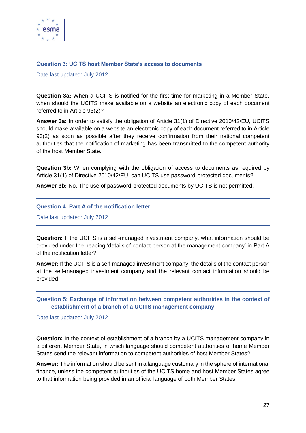

## <span id="page-26-0"></span>**Question 3: UCITS host Member State's access to documents**

Date last updated: July 2012

**Question 3a:** When a UCITS is notified for the first time for marketing in a Member State, when should the UCITS make available on a website an electronic copy of each document referred to in Article 93(2)?

**Answer 3a:** In order to satisfy the obligation of Article 31(1) of Directive 2010/42/EU, UCITS should make available on a website an electronic copy of each document referred to in Article 93(2) as soon as possible after they receive confirmation from their national competent authorities that the notification of marketing has been transmitted to the competent authority of the host Member State.

**Question 3b:** When complying with the obligation of access to documents as required by Article 31(1) of Directive 2010/42/EU, can UCITS use password-protected documents?

**Answer 3b:** No. The use of password-protected documents by UCITS is not permitted.

## <span id="page-26-1"></span>**Question 4: Part A of the notification letter**

Date last updated: July 2012

**Question:** If the UCITS is a self-managed investment company, what information should be provided under the heading 'details of contact person at the management company' in Part A of the notification letter?

**Answer:** If the UCITS is a self-managed investment company, the details of the contact person at the self-managed investment company and the relevant contact information should be provided.

# <span id="page-26-2"></span>**Question 5: Exchange of information between competent authorities in the context of establishment of a branch of a UCITS management company**

Date last updated: July 2012

**Question:** In the context of establishment of a branch by a UCITS management company in a different Member State, in which language should competent authorities of home Member States send the relevant information to competent authorities of host Member States?

**Answer:** The information should be sent in a language customary in the sphere of international finance, unless the competent authorities of the UCITS home and host Member States agree to that information being provided in an official language of both Member States.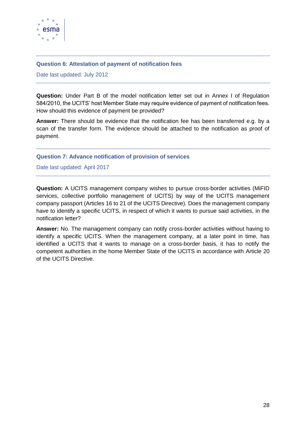

## <span id="page-27-0"></span>**Question 6: Attestation of payment of notification fees**

Date last updated: July 2012

**Question:** Under Part B of the model notification letter set out in Annex I of Regulation 584/2010, the UCITS' host Member State may require evidence of payment of notification fees. How should this evidence of payment be provided?

**Answer:** There should be evidence that the notification fee has been transferred e.g. by a scan of the transfer form. The evidence should be attached to the notification as proof of payment.

## <span id="page-27-1"></span>**Question 7: Advance notification of provision of services**

Date last updated: April 2017

**Question:** A UCITS management company wishes to pursue cross-border activities (MiFID services, collective portfolio management of UCITS) by way of the UCITS management company passport (Articles 16 to 21 of the UCITS Directive). Does the management company have to identify a specific UCITS, in respect of which it wants to pursue said activities, in the notification letter?

**Answer:** No. The management company can notify cross-border activities without having to identify a specific UCITS. When the management company, at a later point in time, has identified a UCITS that it wants to manage on a cross-border basis, it has to notify the competent authorities in the home Member State of the UCITS in accordance with Article 20 of the UCITS Directive.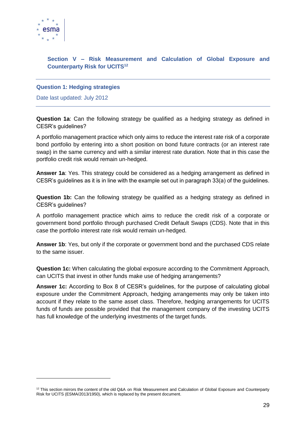

-

# <span id="page-28-0"></span>**Section V – Risk Measurement and Calculation of Global Exposure and Counterparty Risk for UCITS<sup>12</sup>**

# <span id="page-28-1"></span>**Question 1: Hedging strategies**

Date last updated: July 2012

**Question 1a**: Can the following strategy be qualified as a hedging strategy as defined in CESR's guidelines?

A portfolio management practice which only aims to reduce the interest rate risk of a corporate bond portfolio by entering into a short position on bond future contracts (or an interest rate swap) in the same currency and with a similar interest rate duration. Note that in this case the portfolio credit risk would remain un-hedged.

**Answer 1a**: Yes. This strategy could be considered as a hedging arrangement as defined in CESR's guidelines as it is in line with the example set out in paragraph 33(a) of the guidelines.

**Question 1b:** Can the following strategy be qualified as a hedging strategy as defined in CESR's guidelines?

A portfolio management practice which aims to reduce the credit risk of a corporate or government bond portfolio through purchased Credit Default Swaps (CDS). Note that in this case the portfolio interest rate risk would remain un-hedged.

**Answer 1b**: Yes, but only if the corporate or government bond and the purchased CDS relate to the same issuer.

**Question 1c:** When calculating the global exposure according to the Commitment Approach, can UCITS that invest in other funds make use of hedging arrangements?

**Answer 1c:** According to Box 8 of CESR's guidelines, for the purpose of calculating global exposure under the Commitment Approach, hedging arrangements may only be taken into account if they relate to the same asset class. Therefore, hedging arrangements for UCITS funds of funds are possible provided that the management company of the investing UCITS has full knowledge of the underlying investments of the target funds.

 $12$  This section mirrors the content of the old Q&A on Risk Measurement and Calculation of Global Exposure and Counterparty Risk for UCITS (ESMA/2013/1950), which is replaced by the present document.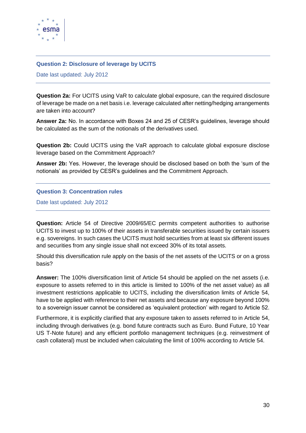

## <span id="page-29-0"></span>**Question 2: Disclosure of leverage by UCITS**

Date last updated: July 2012

**Question 2a:** For UCITS using VaR to calculate global exposure, can the required disclosure of leverage be made on a net basis i.e. leverage calculated after netting/hedging arrangements are taken into account?

**Answer 2a:** No. In accordance with Boxes 24 and 25 of CESR's guidelines, leverage should be calculated as the sum of the notionals of the derivatives used.

**Question 2b:** Could UCITS using the VaR approach to calculate global exposure disclose leverage based on the Commitment Approach?

**Answer 2b:** Yes. However, the leverage should be disclosed based on both the 'sum of the notionals' as provided by CESR's guidelines and the Commitment Approach.

## <span id="page-29-1"></span>**Question 3: Concentration rules**

Date last updated: July 2012

**Question:** Article 54 of Directive 2009/65/EC permits competent authorities to authorise UCITS to invest up to 100% of their assets in transferable securities issued by certain issuers e.g. sovereigns. In such cases the UCITS must hold securities from at least six different issues and securities from any single issue shall not exceed 30% of its total assets.

Should this diversification rule apply on the basis of the net assets of the UCITS or on a gross basis?

**Answer:** The 100% diversification limit of Article 54 should be applied on the net assets (i.e. exposure to assets referred to in this article is limited to 100% of the net asset value) as all investment restrictions applicable to UCITS, including the diversification limits of Article 54, have to be applied with reference to their net assets and because any exposure beyond 100% to a sovereign issuer cannot be considered as 'equivalent protection' with regard to Article 52.

Furthermore, it is explicitly clarified that any exposure taken to assets referred to in Article 54, including through derivatives (e.g. bond future contracts such as Euro. Bund Future, 10 Year US T-Note future) and any efficient portfolio management techniques (e.g. reinvestment of cash collateral) must be included when calculating the limit of 100% according to Article 54.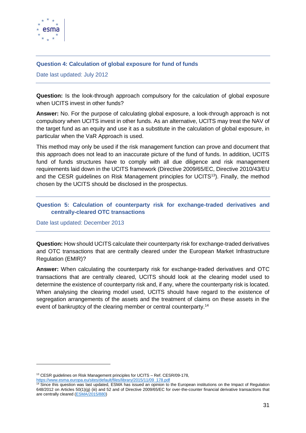

# <span id="page-30-0"></span>**Question 4: Calculation of global exposure for fund of funds**

Date last updated: July 2012

**Question:** Is the look-through approach compulsory for the calculation of global exposure when UCITS invest in other funds?

**Answer:** No. For the purpose of calculating global exposure, a look-through approach is not compulsory when UCITS invest in other funds. As an alternative, UCITS may treat the NAV of the target fund as an equity and use it as a substitute in the calculation of global exposure, in particular when the VaR Approach is used.

This method may only be used if the risk management function can prove and document that this approach does not lead to an inaccurate picture of the fund of funds. In addition, UCITS fund of funds structures have to comply with all due diligence and risk management requirements laid down in the UCITS framework (Directive 2009/65/EC, Directive 2010/43/EU and the CESR guidelines on Risk Management principles for UCITS<sup>13</sup>). Finally, the method chosen by the UCITS should be disclosed in the prospectus.

# <span id="page-30-1"></span>**Question 5: Calculation of counterparty risk for exchange-traded derivatives and centrally-cleared OTC transactions**

Date last updated: December 2013

1

**Question:** How should UCITS calculate their counterparty risk for exchange-traded derivatives and OTC transactions that are centrally cleared under the European Market Infrastructure Regulation (EMIR)?

**Answer:** When calculating the counterparty risk for exchange-traded derivatives and OTC transactions that are centrally cleared, UCITS should look at the clearing model used to determine the existence of counterparty risk and, if any, where the counterparty risk is located. When analysing the clearing model used, UCITS should have regard to the existence of segregation arrangements of the assets and the treatment of claims on these assets in the event of bankruptcy of the clearing member or central counterparty.<sup>14</sup>

<sup>&</sup>lt;sup>13</sup> CESR guidelines on Risk Management principles for UCITS – Ref. CESR/09-178, [https://www.esma.europa.eu/sites/default/files/library/2015/11/09\\_178.pdf](https://www.esma.europa.eu/sites/default/files/library/2015/11/09_178.pdf)

<sup>&</sup>lt;sup>14</sup> Since this question was last updated, ESMA has issued an opinion to the European institutions on the Impact of Regulation 648/2012 on Articles 50(1)(g) (iii) and 52 and of Directive 2009/65/EC for over-the-counter financial derivative transactions that are centrally cleared [\(ESMA/2015/880\)](https://www.esma.europa.eu/sites/default/files/library/2015/11/2015-880_esma_opinion_on_impact_of_emir_on_ucits.pdf)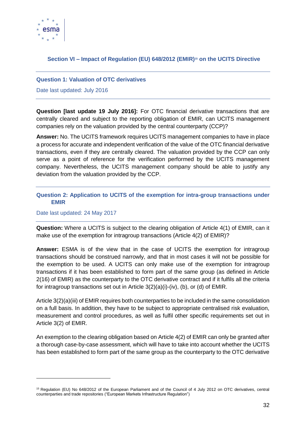

# <span id="page-31-0"></span>**Section VI – Impact of Regulation (EU) 648/2012 (EMIR)<sup>15</sup> on the UCITS Directive**

## <span id="page-31-1"></span>**Question 1: Valuation of OTC derivatives**

Date last updated: July 2016

**Question [last update 19 July 2016]:** For OTC financial derivative transactions that are centrally cleared and subject to the reporting obligation of EMIR, can UCITS management companies rely on the valuation provided by the central counterparty (CCP)?

**Answer:** No. The UCITS framework requires UCITS management companies to have in place a process for accurate and independent verification of the value of the OTC financial derivative transactions, even if they are centrally cleared. The valuation provided by the CCP can only serve as a point of reference for the verification performed by the UCITS management company. Nevertheless, the UCITS management company should be able to justify any deviation from the valuation provided by the CCP.

# <span id="page-31-2"></span>**Question 2: Application to UCITS of the exemption for intra-group transactions under EMIR**

## Date last updated: 24 May 2017

-

**Question:** Where a UCITS is subject to the clearing obligation of Article 4(1) of EMIR, can it make use of the exemption for intragroup transactions (Article 4(2) of EMIR)?

**Answer:** ESMA is of the view that in the case of UCITS the exemption for intragroup transactions should be construed narrowly, and that in most cases it will not be possible for the exemption to be used. A UCITS can only make use of the exemption for intragroup transactions if it has been established to form part of the same group (as defined in Article 2(16) of EMIR) as the counterparty to the OTC derivative contract and if it fulfils all the criteria for intragroup transactions set out in Article 3(2)(a)(i)-(iv), (b), or (d) of EMIR.

Article 3(2)(a)(iii) of EMIR requires both counterparties to be included in the same consolidation on a full basis. In addition, they have to be subject to appropriate centralised risk evaluation, measurement and control procedures, as well as fulfil other specific requirements set out in Article 3(2) of EMIR.

An exemption to the clearing obligation based on Article 4(2) of EMIR can only be granted after a thorough case-by-case assessment, which will have to take into account whether the UCITS has been established to form part of the same group as the counterparty to the OTC derivative

<sup>15</sup> Regulation (EU) No 648/2012 of the European Parliament and of the Council of 4 July 2012 on OTC derivatives, central counterparties and trade repositories ("European Markets Infrastructure Regulation")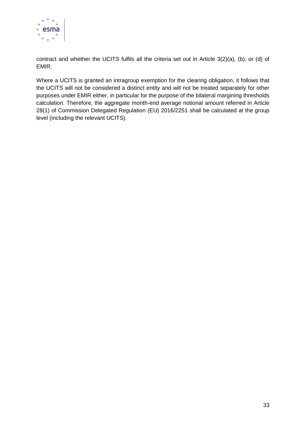

contract and whether the UCITS fulfils all the criteria set out in Article 3(2)(a), (b), or (d) of EMIR.

Where a UCITS is granted an intragroup exemption for the clearing obligation, it follows that the UCITS will not be considered a distinct entity and will not be treated separately for other purposes under EMIR either, in particular for the purpose of the bilateral margining thresholds calculation. Therefore, the aggregate month-end average notional amount referred in Article 28(1) of Commission Delegated Regulation (EU) 2016/2251 shall be calculated at the group level (including the relevant UCITS).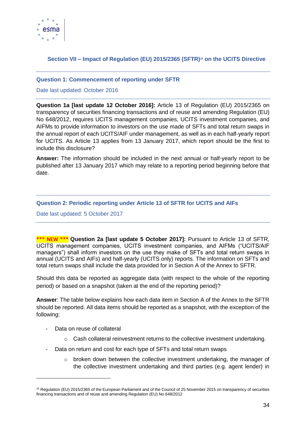

# <span id="page-33-0"></span>**Section VII – Impact of Regulation (EU) 2015/2365 (SFTR)<sup>16</sup> on the UCITS Directive**

## <span id="page-33-1"></span>**Question 1: Commencement of reporting under SFTR**

## Date last updated: October 2016

**Question 1a [last update 12 October 2016]:** Article 13 of Regulation (EU) 2015/2365 on transparency of securities financing transactions and of reuse and amending Regulation (EU) No 648/2012, requires UCITS management companies, UCITS investment companies, and AIFMs to provide information to investors on the use made of SFTs and total return swaps in the annual report of each UCITS/AIF under management, as well as in each half-yearly report for UCITS. As Article 13 applies from 13 January 2017, which report should be the first to include this disclosure?

**Answer:** The information should be included in the next annual or half-yearly report to be published after 13 January 2017 which may relate to a reporting period beginning before that date.

## <span id="page-33-2"></span>**Question 2: Periodic reporting under Article 13 of SFTR for UCITS and AIFs**

Date last updated: 5 October 2017

**\*\*\* NEW \*\*\* Question 2a [last update 5 October 2017]:** Pursuant to Article 13 of SFTR, UCITS management companies, UCITS investment companies, and AIFMs ("UCITS/AIF managers") shall inform investors on the use they make of SFTs and total return swaps in annual (UCITS and AIFs) and half-yearly (UCITS only) reports. The information on SFTs and total return swaps shall include the data provided for in Section A of the Annex to SFTR.

Should this data be reported as aggregate data (with respect to the whole of the reporting period) or based on a snapshot (taken at the end of the reporting period)?

**Answer**: The table below explains how each data item in Section A of the Annex to the SFTR should be reported. All data items should be reported as a snapshot, with the exception of the following:

Data on reuse of collateral

-

- $\circ$  Cash collateral reinvestment returns to the collective investment undertaking.
- Data on return and cost for each type of SFTs and total return swaps
	- $\circ$  broken down between the collective investment undertaking, the manager of the collective investment undertaking and third parties (e.g. agent lender) in

<sup>&</sup>lt;sup>16</sup> Regulation (EU) 2015/2365 of the European Parliament and of the Council of 25 November 2015 on transparency of securities financing transactions and of reuse and amending Regulation (EU) No 648/2012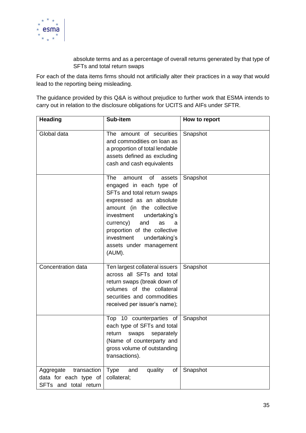

absolute terms and as a percentage of overall returns generated by that type of SFTs and total return swaps

For each of the data items firms should not artificially alter their practices in a way that would lead to the reporting being misleading.

The guidance provided by this Q&A is without prejudice to further work that ESMA intends to carry out in relation to the disclosure obligations for UCITS and AIFs under SFTR.

| <b>Heading</b>                                                             | Sub-item                                                                                                                                                                                                                                                                                                           | How to report |
|----------------------------------------------------------------------------|--------------------------------------------------------------------------------------------------------------------------------------------------------------------------------------------------------------------------------------------------------------------------------------------------------------------|---------------|
| Global data                                                                | The amount of securities<br>and commodities on loan as<br>a proportion of total lendable<br>assets defined as excluding<br>cash and cash equivalents                                                                                                                                                               | Snapshot      |
|                                                                            | The<br>of<br>amount<br>assets<br>engaged in each type of<br>SFTs and total return swaps<br>expressed as an absolute<br>amount (in the collective<br>investment<br>undertaking's<br>currency)<br>and<br>as<br>a<br>proportion of the collective<br>investment<br>undertaking's<br>assets under management<br>(AUM). | Snapshot      |
| Concentration data                                                         | Ten largest collateral issuers<br>across all SFTs and total<br>return swaps (break down of<br>volumes of the collateral<br>securities and commodities<br>received per issuer's name);                                                                                                                              | Snapshot      |
|                                                                            | Top 10 counterparties of<br>each type of SFTs and total<br>separately<br>return<br>swaps<br>(Name of counterparty and<br>gross volume of outstanding<br>transactions).                                                                                                                                             | Snapshot      |
| transaction<br>Aggregate<br>data for each type of<br>SFTs and total return | quality<br>of<br><b>Type</b><br>and<br>collateral;                                                                                                                                                                                                                                                                 | Snapshot      |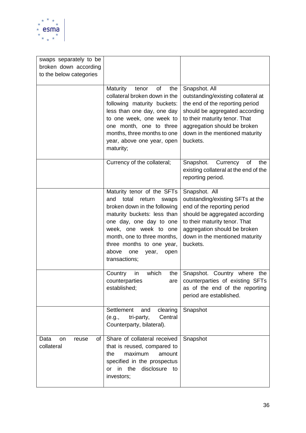

| swaps separately to be                  |                                                                                                                                                                                                                                                                                                |                                                                                                                                                                                                                                         |
|-----------------------------------------|------------------------------------------------------------------------------------------------------------------------------------------------------------------------------------------------------------------------------------------------------------------------------------------------|-----------------------------------------------------------------------------------------------------------------------------------------------------------------------------------------------------------------------------------------|
| broken down according                   |                                                                                                                                                                                                                                                                                                |                                                                                                                                                                                                                                         |
| to the below categories                 |                                                                                                                                                                                                                                                                                                |                                                                                                                                                                                                                                         |
|                                         | Maturity<br>of<br>the<br>tenor<br>collateral broken down in the<br>following maturity buckets:<br>less than one day, one day<br>to one week, one week to<br>one month, one to three<br>months, three months to one<br>year, above one year, open                                               | Snapshot. All<br>outstanding/existing collateral at<br>the end of the reporting period<br>should be aggregated according<br>to their maturity tenor. That<br>aggregation should be broken<br>down in the mentioned maturity<br>buckets. |
|                                         | maturity;                                                                                                                                                                                                                                                                                      |                                                                                                                                                                                                                                         |
|                                         | Currency of the collateral;                                                                                                                                                                                                                                                                    | Currency<br>Snapshot.<br>of<br>the<br>existing collateral at the end of the<br>reporting period.                                                                                                                                        |
|                                         | Maturity tenor of the SFTs<br>and<br>total<br>return<br>swaps<br>broken down in the following<br>maturity buckets: less than<br>one day, one day to one<br>week, one week to one<br>month, one to three months,<br>three months to one year,<br>above<br>one<br>year,<br>open<br>transactions; | Snapshot. All<br>outstanding/existing SFTs at the<br>end of the reporting period<br>should be aggregated according<br>to their maturity tenor. That<br>aggregation should be broken<br>down in the mentioned maturity<br>buckets.       |
|                                         | which<br>Country<br>in<br>the<br>counterparties<br>are<br>established;                                                                                                                                                                                                                         | Snapshot. Country where<br>the<br>counterparties of existing SFTs<br>as of the end of the reporting<br>period are established.                                                                                                          |
|                                         | Settlement<br>clearing<br>and<br>Central<br>tri-party,<br>(e.g.,<br>Counterparty, bilateral).                                                                                                                                                                                                  | Snapshot                                                                                                                                                                                                                                |
| of<br>Data<br>reuse<br>on<br>collateral | Share of collateral received<br>that is reused, compared to<br>maximum<br>the<br>amount<br>specified in the prospectus<br>or in the<br>disclosure to<br>investors;                                                                                                                             | Snapshot                                                                                                                                                                                                                                |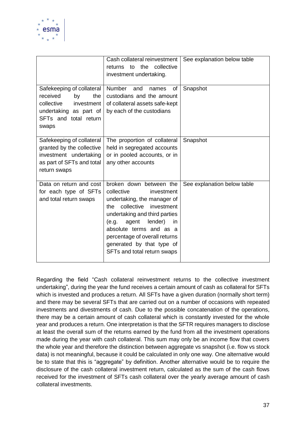

|                                                                                                                                            | Cash collateral reinvestment<br>the<br>collective<br>to<br>returns<br>investment undertaking.                                                                                                                                                                                                                            | See explanation below table |
|--------------------------------------------------------------------------------------------------------------------------------------------|--------------------------------------------------------------------------------------------------------------------------------------------------------------------------------------------------------------------------------------------------------------------------------------------------------------------------|-----------------------------|
| Safekeeping of collateral<br>received<br>the<br>by<br>collective<br>investment<br>undertaking as part of<br>SFTs and total return<br>swaps | <b>Number</b><br>and<br>names<br>of<br>custodians and the amount<br>of collateral assets safe-kept<br>by each of the custodians                                                                                                                                                                                          | Snapshot                    |
| Safekeeping of collateral<br>granted by the collective<br>investment undertaking<br>as part of SFTs and total<br>return swaps              | The proportion of collateral<br>held in segregated accounts<br>or in pooled accounts, or in<br>any other accounts                                                                                                                                                                                                        | Snapshot                    |
| Data on return and cost<br>for each type of SFTs<br>and total return swaps                                                                 | broken down between the<br>collective<br>investment<br>undertaking, the manager of<br>collective<br>investment<br>the<br>undertaking and third parties<br>agent<br>lender)<br>(e.g.<br><i>in</i><br>absolute terms and as a<br>percentage of overall returns<br>generated by that type of<br>SFTs and total return swaps | See explanation below table |

Regarding the field "Cash collateral reinvestment returns to the collective investment undertaking", during the year the fund receives a certain amount of cash as collateral for SFTs which is invested and produces a return. All SFTs have a given duration (normally short term) and there may be several SFTs that are carried out on a number of occasions with repeated investments and divestments of cash. Due to the possible concatenation of the operations, there may be a certain amount of cash collateral which is constantly invested for the whole year and produces a return. One interpretation is that the SFTR requires managers to disclose at least the overall sum of the returns earned by the fund from all the investment operations made during the year with cash collateral. This sum may only be an income flow that covers the whole year and therefore the distinction between aggregate vs snapshot (i.e. flow vs stock data) is not meaningful, because it could be calculated in only one way. One alternative would be to state that this is "aggregate" by definition. Another alternative would be to require the disclosure of the cash collateral investment return, calculated as the sum of the cash flows received for the investment of SFTs cash collateral over the yearly average amount of cash collateral investments.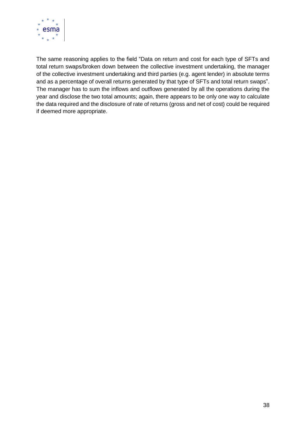

The same reasoning applies to the field "Data on return and cost for each type of SFTs and total return swaps/broken down between the collective investment undertaking, the manager of the collective investment undertaking and third parties (e.g. agent lender) in absolute terms and as a percentage of overall returns generated by that type of SFTs and total return swaps". The manager has to sum the inflows and outflows generated by all the operations during the year and disclose the two total amounts; again, there appears to be only one way to calculate the data required and the disclosure of rate of returns (gross and net of cost) could be required if deemed more appropriate.